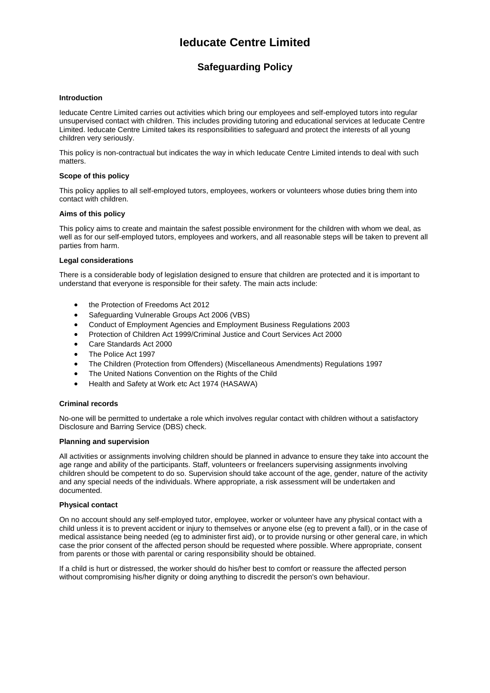# **Ieducate Centre Limited**

## **Safeguarding Policy**

## **Introduction**

Ieducate Centre Limited carries out activities which bring our employees and self-employed tutors into regular unsupervised contact with children. This includes providing tutoring and educational services at Ieducate Centre Limited. Ieducate Centre Limited takes its responsibilities to safeguard and protect the interests of all young children very seriously.

This policy is non-contractual but indicates the way in which Ieducate Centre Limited intends to deal with such matters.

## **Scope of this policy**

This policy applies to all self-employed tutors, employees, workers or volunteers whose duties bring them into contact with children.

## **Aims of this policy**

This policy aims to create and maintain the safest possible environment for the children with whom we deal, as well as for our self-employed tutors, employees and workers, and all reasonable steps will be taken to prevent all parties from harm.

## **Legal considerations**

There is a considerable body of legislation designed to ensure that children are protected and it is important to understand that everyone is responsible for their safety. The main acts include:

- the Protection of Freedoms Act 2012
- Safeguarding Vulnerable Groups Act 2006 (VBS)
- Conduct of Employment Agencies and Employment Business Regulations 2003
- Protection of Children Act 1999/Criminal Justice and Court Services Act 2000
- Care Standards Act 2000
- The Police Act 1997
- The Children (Protection from Offenders) (Miscellaneous Amendments) Regulations 1997
- The United Nations Convention on the Rights of the Child
- Health and Safety at Work etc Act 1974 (HASAWA)

## **Criminal records**

No-one will be permitted to undertake a role which involves regular contact with children without a satisfactory Disclosure and Barring Service (DBS) check.

## **Planning and supervision**

All activities or assignments involving children should be planned in advance to ensure they take into account the age range and ability of the participants. Staff, volunteers or freelancers supervising assignments involving children should be competent to do so. Supervision should take account of the age, gender, nature of the activity and any special needs of the individuals. Where appropriate, a risk assessment will be undertaken and documented.

## **Physical contact**

On no account should any self-employed tutor, employee, worker or volunteer have any physical contact with a child unless it is to prevent accident or injury to themselves or anyone else (eg to prevent a fall), or in the case of medical assistance being needed (eg to administer first aid), or to provide nursing or other general care, in which case the prior consent of the affected person should be requested where possible. Where appropriate, consent from parents or those with parental or caring responsibility should be obtained.

If a child is hurt or distressed, the worker should do his/her best to comfort or reassure the affected person without compromising his/her dignity or doing anything to discredit the person's own behaviour.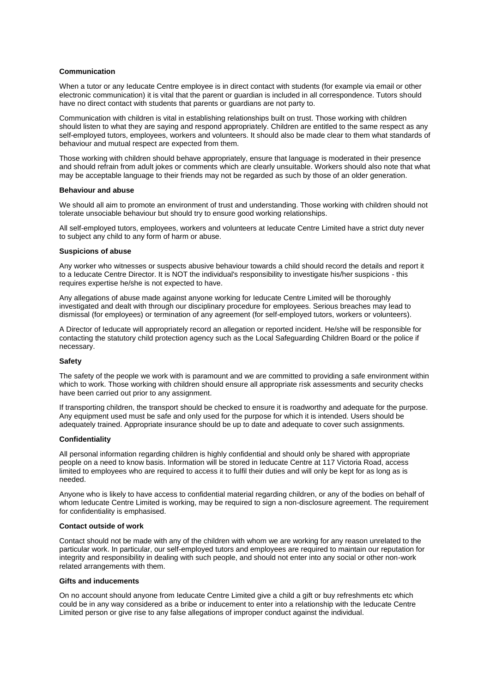#### **Communication**

When a tutor or any Ieducate Centre employee is in direct contact with students (for example via email or other electronic communication) it is vital that the parent or guardian is included in all correspondence. Tutors should have no direct contact with students that parents or guardians are not party to.

Communication with children is vital in establishing relationships built on trust. Those working with children should listen to what they are saying and respond appropriately. Children are entitled to the same respect as any self-employed tutors, employees, workers and volunteers. It should also be made clear to them what standards of behaviour and mutual respect are expected from them.

Those working with children should behave appropriately, ensure that language is moderated in their presence and should refrain from adult jokes or comments which are clearly unsuitable. Workers should also note that what may be acceptable language to their friends may not be regarded as such by those of an older generation.

#### **Behaviour and abuse**

We should all aim to promote an environment of trust and understanding. Those working with children should not tolerate unsociable behaviour but should try to ensure good working relationships.

All self-employed tutors, employees, workers and volunteers at Ieducate Centre Limited have a strict duty never to subject any child to any form of harm or abuse.

#### **Suspicions of abuse**

Any worker who witnesses or suspects abusive behaviour towards a child should record the details and report it to a Ieducate Centre Director. It is NOT the individual's responsibility to investigate his/her suspicions - this requires expertise he/she is not expected to have.

Any allegations of abuse made against anyone working for Ieducate Centre Limited will be thoroughly investigated and dealt with through our disciplinary procedure for employees. Serious breaches may lead to dismissal (for employees) or termination of any agreement (for self-employed tutors, workers or volunteers).

A Director of Ieducate will appropriately record an allegation or reported incident. He/she will be responsible for contacting the statutory child protection agency such as the Local Safeguarding Children Board or the police if necessary.

## **Safety**

The safety of the people we work with is paramount and we are committed to providing a safe environment within which to work. Those working with children should ensure all appropriate risk assessments and security checks have been carried out prior to any assignment.

If transporting children, the transport should be checked to ensure it is roadworthy and adequate for the purpose. Any equipment used must be safe and only used for the purpose for which it is intended. Users should be adequately trained. Appropriate insurance should be up to date and adequate to cover such assignments.

## **Confidentiality**

All personal information regarding children is highly confidential and should only be shared with appropriate people on a need to know basis. Information will be stored in Ieducate Centre at 117 Victoria Road, access limited to employees who are required to access it to fulfil their duties and will only be kept for as long as is needed.

Anyone who is likely to have access to confidential material regarding children, or any of the bodies on behalf of whom Ieducate Centre Limited is working, may be required to sign a non-disclosure agreement. The requirement for confidentiality is emphasised.

#### **Contact outside of work**

Contact should not be made with any of the children with whom we are working for any reason unrelated to the particular work. In particular, our self-employed tutors and employees are required to maintain our reputation for integrity and responsibility in dealing with such people, and should not enter into any social or other non-work related arrangements with them.

## **Gifts and inducements**

On no account should anyone from Ieducate Centre Limited give a child a gift or buy refreshments etc which could be in any way considered as a bribe or inducement to enter into a relationship with the Ieducate Centre Limited person or give rise to any false allegations of improper conduct against the individual.